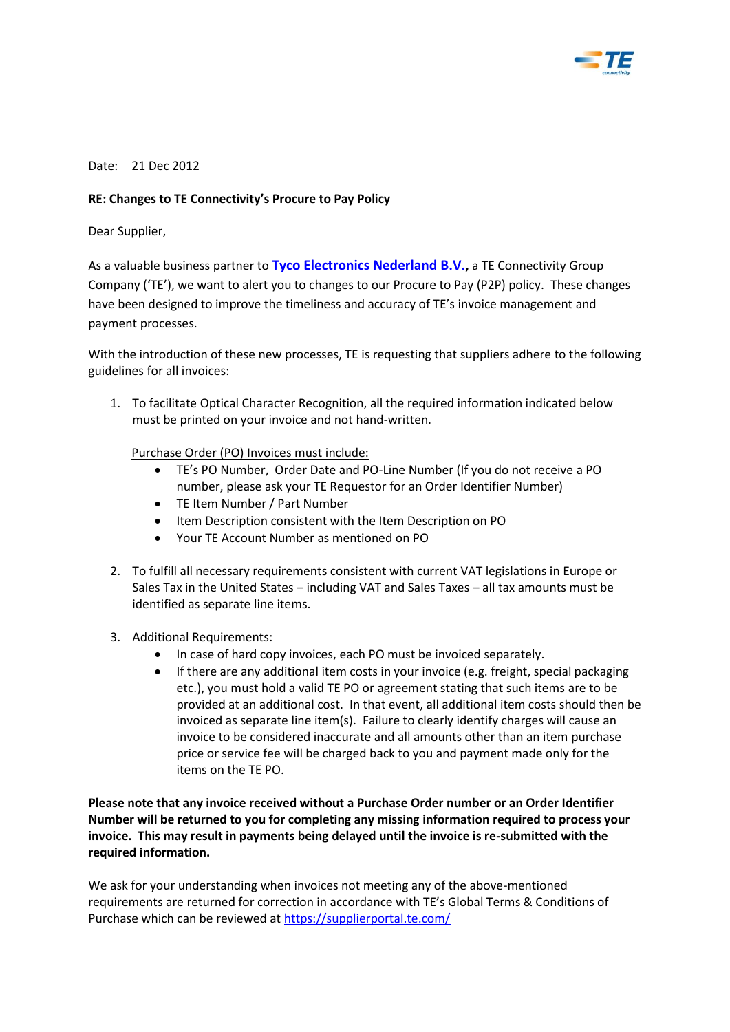

Date: 21 Dec 2012

## **RE: Changes to TE Connectivity's Procure to Pay Policy**

Dear Supplier,

As a valuable business partner to **Tyco Electronics Nederland B.V.,** a TE Connectivity Group Company ('TE'), we want to alert you to changes to our Procure to Pay (P2P) policy. These changes have been designed to improve the timeliness and accuracy of TE's invoice management and payment processes.

With the introduction of these new processes, TE is requesting that suppliers adhere to the following guidelines for all invoices:

1. To facilitate Optical Character Recognition, all the required information indicated below must be printed on your invoice and not hand-written.

Purchase Order (PO) Invoices must include:

- TE's PO Number, Order Date and PO-Line Number (If you do not receive a PO number, please ask your TE Requestor for an Order Identifier Number)
- TE Item Number / Part Number
- Item Description consistent with the Item Description on PO
- Your TE Account Number as mentioned on PO
- 2. To fulfill all necessary requirements consistent with current VAT legislations in Europe or Sales Tax in the United States – including VAT and Sales Taxes – all tax amounts must be identified as separate line items.
- 3. Additional Requirements:
	- In case of hard copy invoices, each PO must be invoiced separately.
	- If there are any additional item costs in your invoice (e.g. freight, special packaging etc.), you must hold a valid TE PO or agreement stating that such items are to be provided at an additional cost. In that event, all additional item costs should then be invoiced as separate line item(s). Failure to clearly identify charges will cause an invoice to be considered inaccurate and all amounts other than an item purchase price or service fee will be charged back to you and payment made only for the items on the TE PO.

**Please note that any invoice received without a Purchase Order number or an Order Identifier Number will be returned to you for completing any missing information required to process your invoice. This may result in payments being delayed until the invoice is re-submitted with the required information.** 

We ask for your understanding when invoices not meeting any of the above-mentioned requirements are returned for correction in accordance with TE's Global Terms & Conditions of Purchase which can be reviewed a[t https://supplierportal.te.com/](https://supplierportal.te.com/)